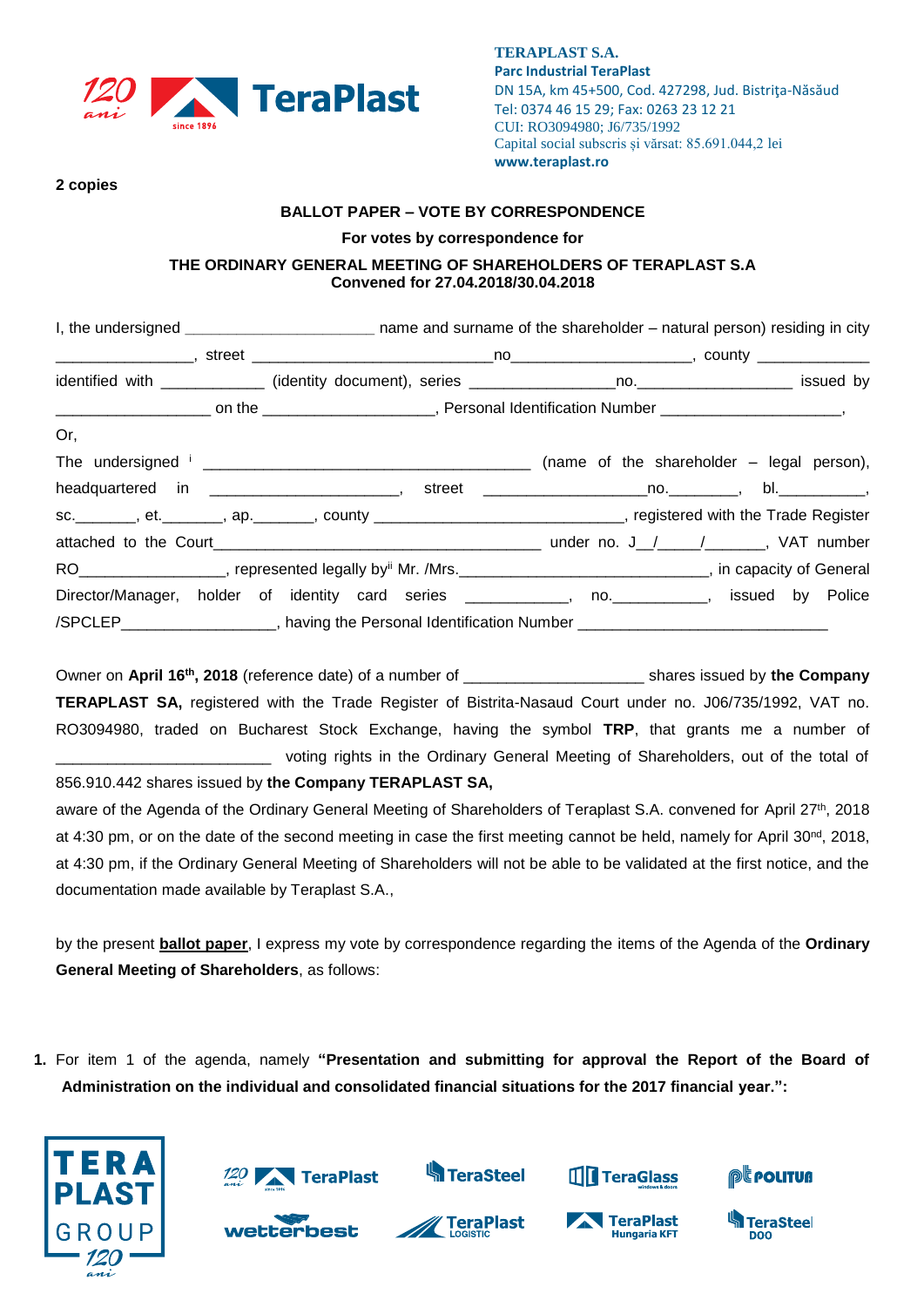

**TERAPLAST S.A. Parc Industrial TeraPlast** DN 15A, km 45+500, Cod. 427298, Jud. Bistriţa-Năsăud Tel: 0374 46 15 29; Fax: 0263 23 12 21 CUI: RO3094980; J6/735/1992 Capital social subscris și vărsat: 85.691.044,2 lei **www.teraplast.ro**

**2 copies** 

#### **BALLOT PAPER – VOTE BY CORRESPONDENCE**

#### **For votes by correspondence for**

## **THE ORDINARY GENERAL MEETING OF SHAREHOLDERS OF TERAPLAST S.A Convened for 27.04.2018/30.04.2018**

| I, the undersigned _______________________________ name and surname of the shareholder – natural person) residing in city |  |  |  |  |
|---------------------------------------------------------------------------------------------------------------------------|--|--|--|--|
|                                                                                                                           |  |  |  |  |
|                                                                                                                           |  |  |  |  |
|                                                                                                                           |  |  |  |  |
| Or,                                                                                                                       |  |  |  |  |
|                                                                                                                           |  |  |  |  |
| headquartered in _____________________________, street ________________________________, bl._______________,              |  |  |  |  |
| sc. _______, et. _______, ap. _______, county ____________________________, registered with the Trade Register            |  |  |  |  |
|                                                                                                                           |  |  |  |  |
| RO__________________, represented legally by <sup>ii</sup> Mr. /Mrs._____________________________, in capacity of General |  |  |  |  |
| Director/Manager, holder of identity card series ____________, no. __________, issued by Police                           |  |  |  |  |
| /SPCLEP____________________, having the Personal Identification Number _____________________________                      |  |  |  |  |

Owner on April 16<sup>th</sup>, 2018 (reference date) of a number of \_\_\_\_\_\_\_\_\_\_\_\_\_\_\_\_\_\_\_\_\_\_\_\_\_ shares issued by the Company **TERAPLAST SA,** registered with the Trade Register of Bistrita-Nasaud Court under no. J06/735/1992, VAT no. RO3094980, traded on Bucharest Stock Exchange, having the symbol **TRP**, that grants me a number of voting rights in the Ordinary General Meeting of Shareholders, out of the total of

856.910.442 shares issued by **the Company TERAPLAST SA,**

aware of the Agenda of the Ordinary General Meeting of Shareholders of Teraplast S.A. convened for April 27<sup>th</sup>, 2018 at 4:30 pm, or on the date of the second meeting in case the first meeting cannot be held, namely for April 30<sup>nd</sup>, 2018, at 4:30 pm, if the Ordinary General Meeting of Shareholders will not be able to be validated at the first notice, and the documentation made available by Teraplast S.A.,

by the present **ballot paper**, I express my vote by correspondence regarding the items of the Agenda of the **Ordinary General Meeting of Shareholders**, as follows:

**1.** For item 1 of the agenda, namely **"Presentation and submitting for approval the Report of the Board of Administration on the individual and consolidated financial situations for the 2017 financial year.":**



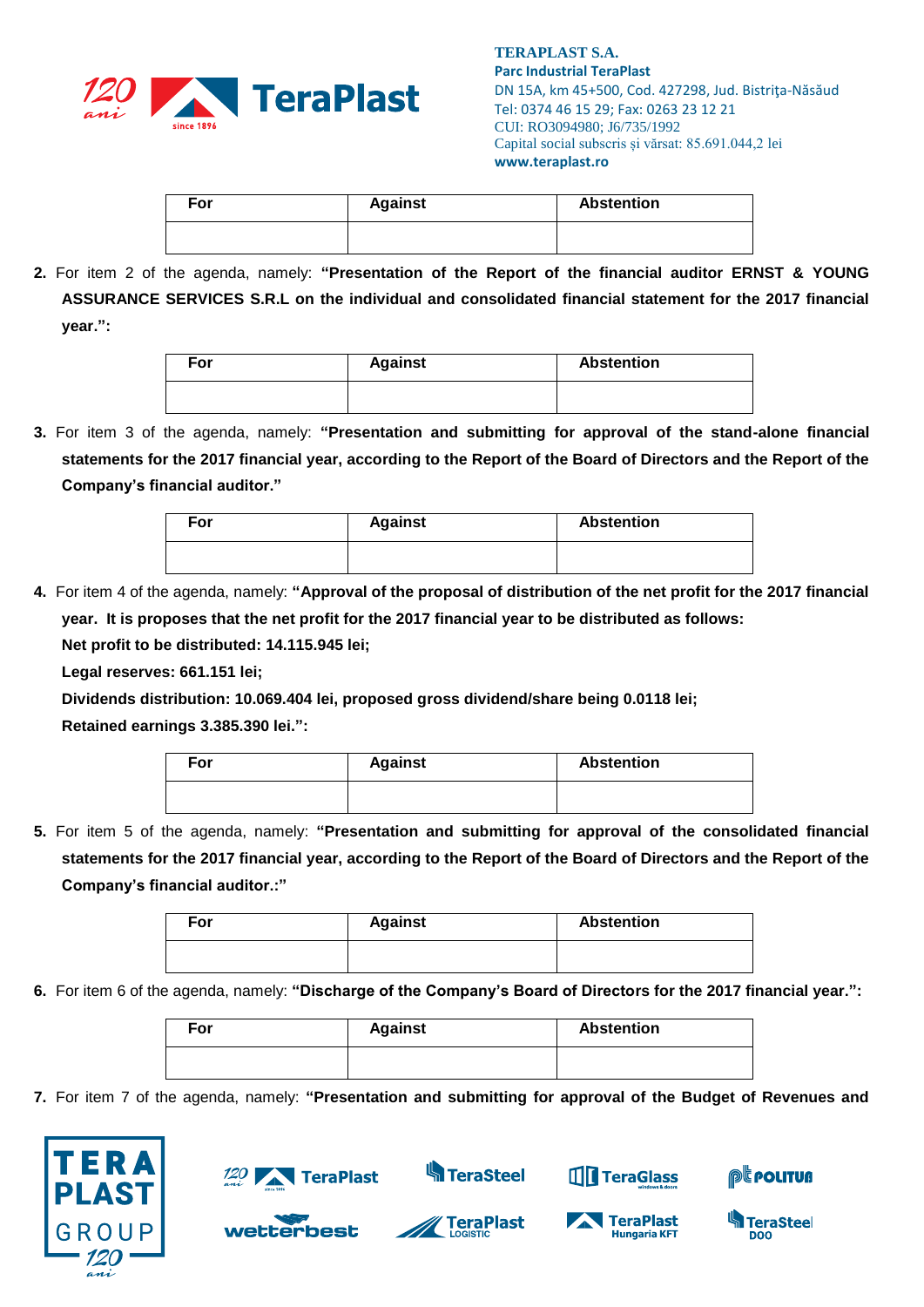

| For | <b>Against</b> | <b>Abstention</b> |
|-----|----------------|-------------------|
|     |                |                   |

**2.** For item 2 of the agenda, namely: **"Presentation of the Report of the financial auditor ERNST & YOUNG ASSURANCE SERVICES S.R.L on the individual and consolidated financial statement for the 2017 financial year.":**

| For | <b>Against</b> | <b>Abstention</b> |
|-----|----------------|-------------------|
|     |                |                   |

**3.** For item 3 of the agenda, namely: **"Presentation and submitting for approval of the stand-alone financial statements for the 2017 financial year, according to the Report of the Board of Directors and the Report of the Company's financial auditor."**

| For | <b>Against</b> | <b>Abstention</b> |
|-----|----------------|-------------------|
|     |                |                   |

**4.** For item 4 of the agenda, namely: **"Approval of the proposal of distribution of the net profit for the 2017 financial year. It is proposes that the net profit for the 2017 financial year to be distributed as follows: Net profit to be distributed: 14.115.945 lei;**

**Legal reserves: 661.151 lei;**

**Dividends distribution: 10.069.404 lei, proposed gross dividend/share being 0.0118 lei;**

**Retained earnings 3.385.390 lei.":**

| For | <b>Against</b> | <b>Abstention</b> |
|-----|----------------|-------------------|
|     |                |                   |

**5.** For item 5 of the agenda, namely: **"Presentation and submitting for approval of the consolidated financial statements for the 2017 financial year, according to the Report of the Board of Directors and the Report of the Company's financial auditor.:"**

| For | <b>Against</b> | <b>Abstention</b> |
|-----|----------------|-------------------|
|     |                |                   |

**6.** For item 6 of the agenda, namely: **"Discharge of the Company's Board of Directors for the 2017 financial year.":**

| For | <b>Against</b> | <b>Abstention</b> |
|-----|----------------|-------------------|
|     |                |                   |

**7.** For item 7 of the agenda, namely: **"Presentation and submitting for approval of the Budget of Revenues and** 





wetterbest

**S**TeraSteel



**THE TeraGlass** 



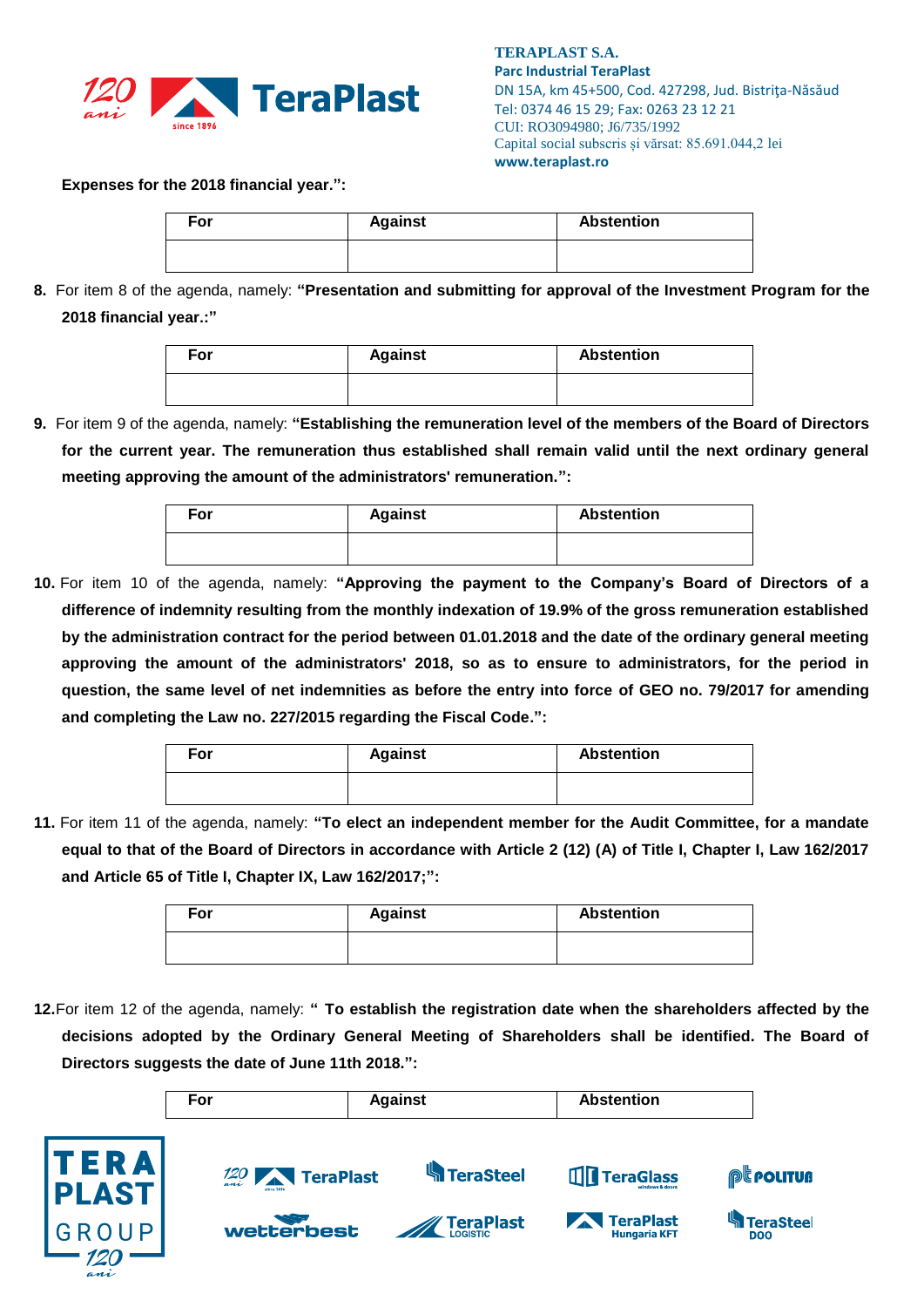

**TERAPLAST S.A. Parc Industrial TeraPlast** DN 15A, km 45+500, Cod. 427298, Jud. Bistriţa-Năsăud Tel: 0374 46 15 29; Fax: 0263 23 12 21 CUI: RO3094980; J6/735/1992 Capital social subscris și vărsat: 85.691.044,2 lei **www.teraplast.ro**

## **Expenses for the 2018 financial year.":**

| For | <b>Against</b> | <b>Abstention</b> |
|-----|----------------|-------------------|
|     |                |                   |

**8.** For item 8 of the agenda, namely: **"Presentation and submitting for approval of the Investment Program for the 2018 financial year.:"**

| For | <b>Against</b> | <b>Abstention</b> |
|-----|----------------|-------------------|
|     |                |                   |

**9.** For item 9 of the agenda, namely: **"Establishing the remuneration level of the members of the Board of Directors for the current year. The remuneration thus established shall remain valid until the next ordinary general meeting approving the amount of the administrators' remuneration.":**

| For | <b>Against</b> | <b>Abstention</b> |
|-----|----------------|-------------------|
|     |                |                   |

**10.** For item 10 of the agenda, namely: **"Approving the payment to the Company's Board of Directors of a difference of indemnity resulting from the monthly indexation of 19.9% of the gross remuneration established by the administration contract for the period between 01.01.2018 and the date of the ordinary general meeting approving the amount of the administrators' 2018, so as to ensure to administrators, for the period in question, the same level of net indemnities as before the entry into force of GEO no. 79/2017 for amending and completing the Law no. 227/2015 regarding the Fiscal Code.":**

| For | <b>Against</b> | <b>Abstention</b> |
|-----|----------------|-------------------|
|     |                |                   |

**11.** For item 11 of the agenda, namely: **"To elect an independent member for the Audit Committee, for a mandate equal to that of the Board of Directors in accordance with Article 2 (12) (A) of Title I, Chapter I, Law 162/2017 and Article 65 of Title I, Chapter IX, Law 162/2017;":**

| For | <b>Against</b> | <b>Abstention</b> |
|-----|----------------|-------------------|
|     |                |                   |

**12.**For item 12 of the agenda, namely: **" To establish the registration date when the shareholders affected by the decisions adopted by the Ordinary General Meeting of Shareholders shall be identified. The Board of Directors suggests the date of June 11th 2018.":**

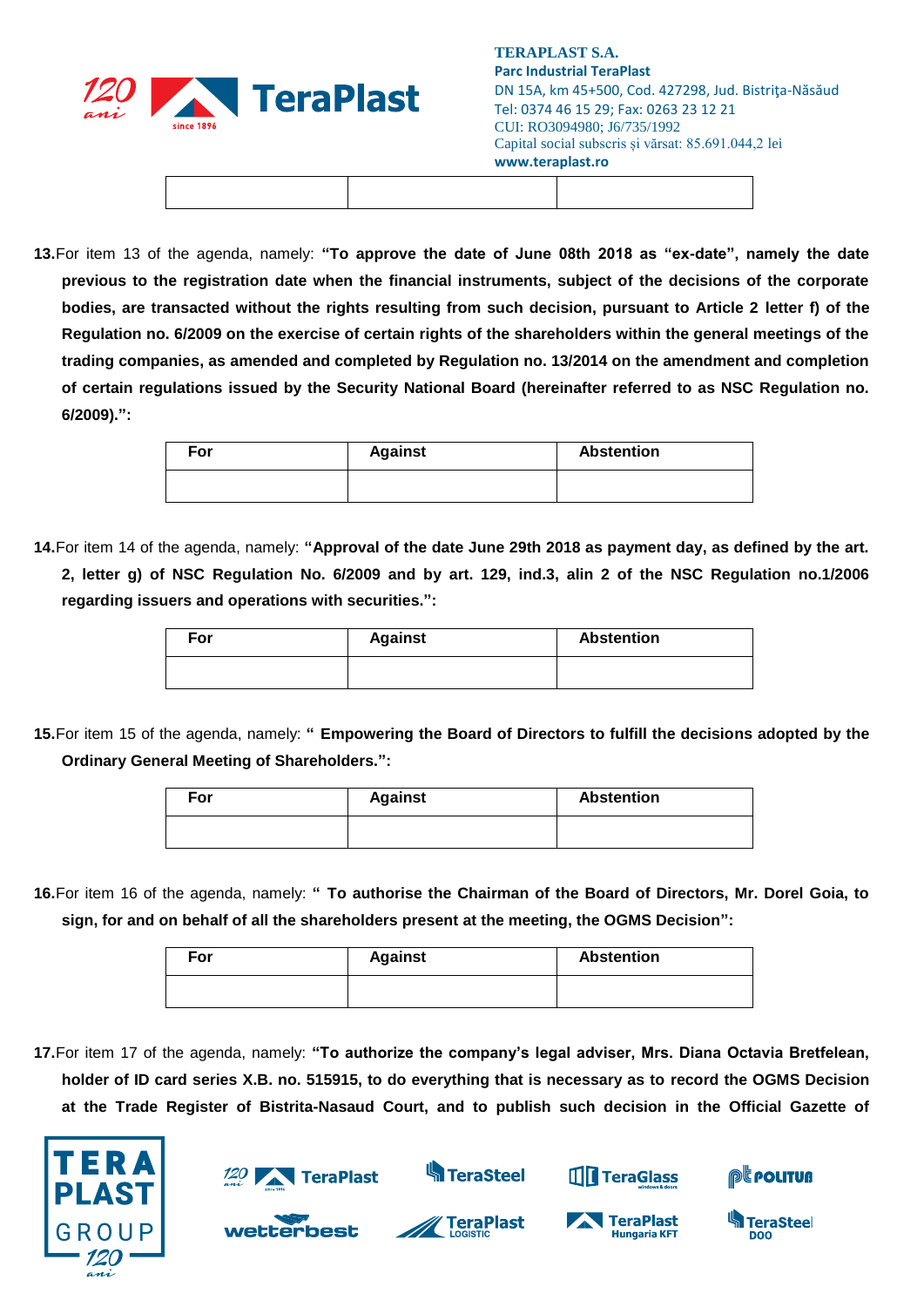

**13.**For item 13 of the agenda, namely: **"To approve the date of June 08th 2018 as "ex-date", namely the date previous to the registration date when the financial instruments, subject of the decisions of the corporate bodies, are transacted without the rights resulting from such decision, pursuant to Article 2 letter f) of the Regulation no. 6/2009 on the exercise of certain rights of the shareholders within the general meetings of the trading companies, as amended and completed by Regulation no. 13/2014 on the amendment and completion of certain regulations issued by the Security National Board (hereinafter referred to as NSC Regulation no. 6/2009).":**

| For | <b>Against</b> | <b>Abstention</b> |
|-----|----------------|-------------------|
|     |                |                   |

**14.**For item 14 of the agenda, namely: **"Approval of the date June 29th 2018 as payment day, as defined by the art. 2, letter g) of NSC Regulation No. 6/2009 and by art. 129, ind.3, alin 2 of the NSC Regulation no.1/2006 regarding issuers and operations with securities.":**

| For | <b>Against</b> | <b>Abstention</b> |
|-----|----------------|-------------------|
|     |                |                   |

**15.**For item 15 of the agenda, namely: **" Empowering the Board of Directors to fulfill the decisions adopted by the Ordinary General Meeting of Shareholders.":**

| For | <b>Against</b> | <b>Abstention</b> |
|-----|----------------|-------------------|
|     |                |                   |

**16.**For item 16 of the agenda, namely: **" To authorise the Chairman of the Board of Directors, Mr. Dorel Goia, to sign, for and on behalf of all the shareholders present at the meeting, the OGMS Decision":**

| For | <b>Against</b> | <b>Abstention</b> |
|-----|----------------|-------------------|
|     |                |                   |

**17.**For item 17 of the agenda, namely: **"To authorize the company's legal adviser, Mrs. Diana Octavia Bretfelean, holder of ID card series X.B. no. 515915, to do everything that is necessary as to record the OGMS Decision at the Trade Register of Bistrita-Nasaud Court, and to publish such decision in the Official Gazette of** 





wetterbest

**TeraSteel**